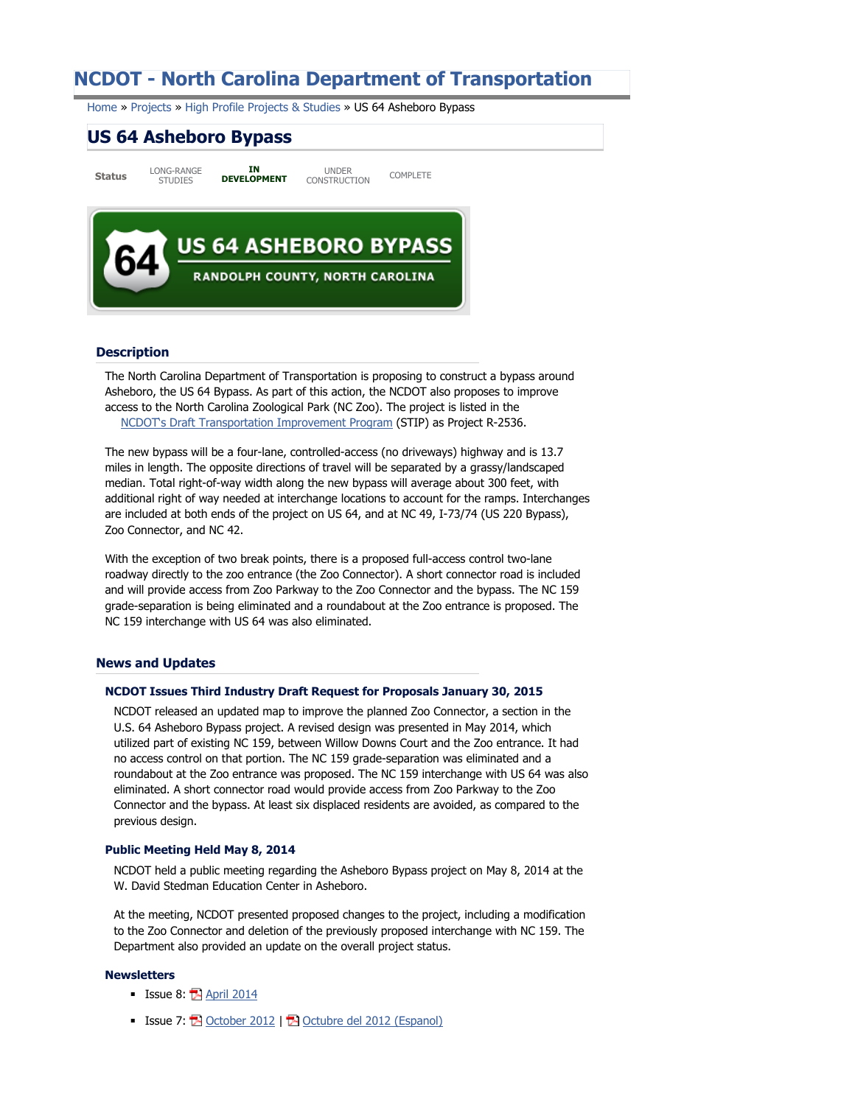# **NCDOT - North Carolina Department of Transportation**

Home » Projects » High Profile Projects & Studies » US 64 Asheboro Bypass

# **US 64 Asheboro Bypass**

**Status** LONG-RANGE STUDIES **IN DEVELOPMENT** UNDER UNDER<br>CONSTRUCTION COMPLETE



## **Description**

The North Carolina Department of Transportation is proposing to construct a bypass around Asheboro, the US 64 Bypass. As part of this action, the NCDOT also proposes to improve access to the North Carolina Zoological Park (NC Zoo). The project is listed in the NCDOT's Draft Transportation Improvement Program (STIP) as Project R-2536.

The new bypass will be a four-lane, controlled-access (no driveways) highway and is 13.7 miles in length. The opposite directions of travel will be separated by a grassy/landscaped median. Total right-of-way width along the new bypass will average about 300 feet, with additional right of way needed at interchange locations to account for the ramps. Interchanges are included at both ends of the project on US 64, and at NC 49, I-73/74 (US 220 Bypass), Zoo Connector, and NC 42.

With the exception of two break points, there is a proposed full-access control two-lane roadway directly to the zoo entrance (the Zoo Connector). A short connector road is included and will provide access from Zoo Parkway to the Zoo Connector and the bypass. The NC 159 grade-separation is being eliminated and a roundabout at the Zoo entrance is proposed. The NC 159 interchange with US 64 was also eliminated.

## **News and Updates**

#### **NCDOT Issues Third Industry Draft Request for Proposals January 30, 2015**

NCDOT released an updated map to improve the planned Zoo Connector, a section in the U.S. 64 Asheboro Bypass project. A revised design was presented in May 2014, which utilized part of existing NC 159, between Willow Downs Court and the Zoo entrance. It had no access control on that portion. The NC 159 grade-separation was eliminated and a roundabout at the Zoo entrance was proposed. The NC 159 interchange with US 64 was also eliminated. A short connector road would provide access from Zoo Parkway to the Zoo Connector and the bypass. At least six displaced residents are avoided, as compared to the previous design.

#### **Public Meeting Held May 8, 2014**

NCDOT held a public meeting regarding the Asheboro Bypass project on May 8, 2014 at the W. David Stedman Education Center in Asheboro.

At the meeting, NCDOT presented proposed changes to the project, including a modification to the Zoo Connector and deletion of the previously proposed interchange with NC 159. The Department also provided an update on the overall project status.

#### **Newsletters**

- Issue 8: **E** April 2014
- Issue 7: **E** October 2012 | **E** Octubre del 2012 (Espanol)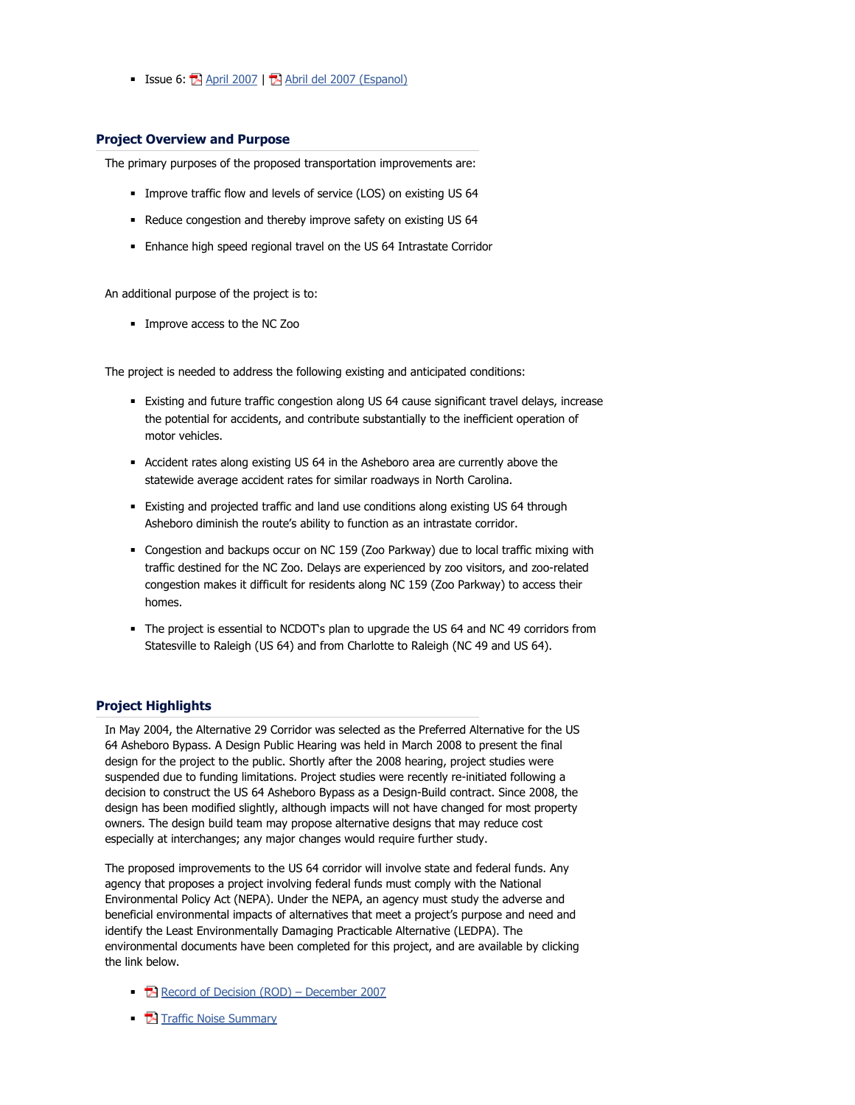■ Issue 6:  $\mathbf{\mathbb{E}}$  April 2007 |  $\mathbf{\mathbb{E}}$  Abril del 2007 (Espanol)

# **Project Overview and Purpose**

The primary purposes of the proposed transportation improvements are:

- **■** Improve traffic flow and levels of service (LOS) on existing US 64
- Reduce congestion and thereby improve safety on existing US 64
- Enhance high speed regional travel on the US 64 Intrastate Corridor

An additional purpose of the project is to:

■ Improve access to the NC Zoo

The project is needed to address the following existing and anticipated conditions:

- Existing and future traffic congestion along US 64 cause significant travel delays, increase the potential for accidents, and contribute substantially to the inefficient operation of motor vehicles.
- Accident rates along existing US 64 in the Asheboro area are currently above the statewide average accident rates for similar roadways in North Carolina.
- Existing and projected traffic and land use conditions along existing US 64 through Asheboro diminish the route's ability to function as an intrastate corridor.
- Congestion and backups occur on NC 159 (Zoo Parkway) due to local traffic mixing with traffic destined for the NC Zoo. Delays are experienced by zoo visitors, and zoo-related congestion makes it difficult for residents along NC 159 (Zoo Parkway) to access their homes.
- The project is essential to NCDOT's plan to upgrade the US 64 and NC 49 corridors from Statesville to Raleigh (US 64) and from Charlotte to Raleigh (NC 49 and US 64).

# **Project Highlights**

In May 2004, the Alternative 29 Corridor was selected as the Preferred Alternative for the US 64 Asheboro Bypass. A Design Public Hearing was held in March 2008 to present the final design for the project to the public. Shortly after the 2008 hearing, project studies were suspended due to funding limitations. Project studies were recently re-initiated following a decision to construct the US 64 Asheboro Bypass as a Design-Build contract. Since 2008, the design has been modified slightly, although impacts will not have changed for most property owners. The design build team may propose alternative designs that may reduce cost especially at interchanges; any major changes would require further study.

The proposed improvements to the US 64 corridor will involve state and federal funds. Any agency that proposes a project involving federal funds must comply with the National Environmental Policy Act (NEPA). Under the NEPA, an agency must study the adverse and beneficial environmental impacts of alternatives that meet a project's purpose and need and identify the Least Environmentally Damaging Practicable Alternative (LEDPA). The environmental documents have been completed for this project, and are available by clicking the link below.

- Record of Decision (ROD) December 2007
- **Ex** Traffic Noise Summary